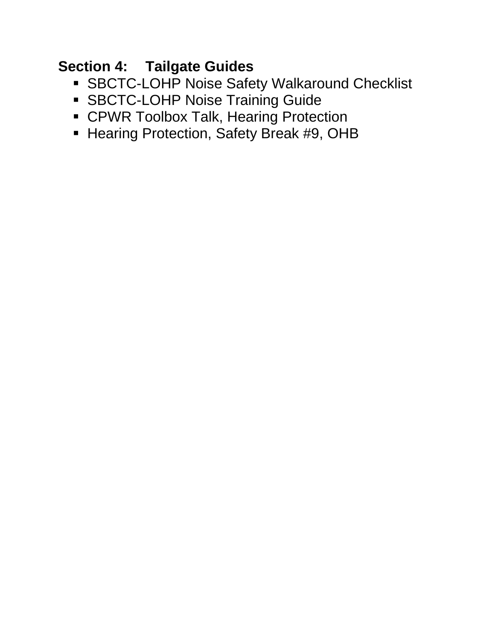### **Section 4: Tailgate Guides**

- **SBCTC-LOHP Noise Safety Walkaround Checklist**
- **SBCTC-LOHP Noise Training Guide**
- **CPWR Toolbox Talk, Hearing Protection**
- **Hearing Protection, Safety Break #9, OHB**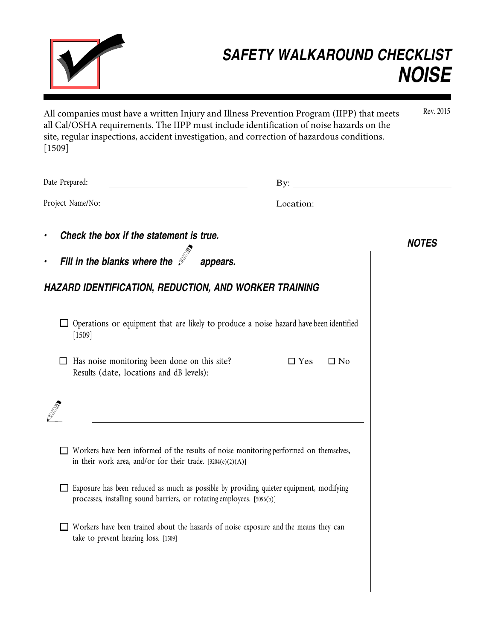

### *SAFETY WALKAROUND CHECKLIST NOISE*

Rev. 2015 All companies must have a written Injury and Illness Prevention Program (IIPP) that meets all Cal/OSHA requirements. The IIPP must include identification of noise hazards on the site, regular inspections, accident investigation, and correction of hazardous conditions. [1509]

| Date Prepared:                                                                                                                                                    | $\mathbf{B}$ y:         |
|-------------------------------------------------------------------------------------------------------------------------------------------------------------------|-------------------------|
| Project Name/No:                                                                                                                                                  | Location:               |
| Check the box if the statement is true.<br>$\bullet$                                                                                                              | <b>NOTES</b>            |
| Fill in the blanks where the $\mathscr{I}_{-}$<br>$\bullet$                                                                                                       | appears.                |
| HAZARD IDENTIFICATION, REDUCTION, AND WORKER TRAINING                                                                                                             |                         |
| $\Box$ Operations or equipment that are likely to produce a noise hazard have been identified<br>[1509]                                                           |                         |
| Has noise monitoring been done on this site?<br>Results (date, locations and dB levels):                                                                          | $\Box$ Yes<br>$\Box$ No |
|                                                                                                                                                                   |                         |
| Workers have been informed of the results of noise monitoring performed on themselves,<br>in their work area, and/or for their trade. $[3204(e)(2)(A)]$           |                         |
| Exposure has been reduced as much as possible by providing quieter equipment, modifying<br>processes, installing sound barriers, or rotating employees. [5096(b)] |                         |
| Workers have been trained about the hazards of noise exposure and the means they can<br>take to prevent hearing loss. [1509]                                      |                         |
|                                                                                                                                                                   |                         |
|                                                                                                                                                                   |                         |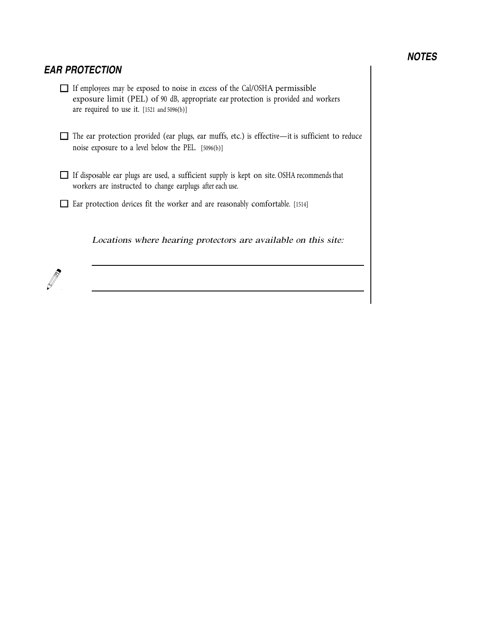### *NOTES*

### *EAR PROTECTION*

- If employees may be exposed to noise in excess of the Cal/OSHA permissible exposure limit (PEL) of 90 dB, appropriate ear protection is provided and workers are required to use it. [1521 and 5096(b)]
- The ear protection provided (ear plugs, ear muffs, etc.) is effective—it is sufficient to reduce noise exposure to a level below the PEL. [5096(b)]
- If disposable ear plugs are used, a sufficient supply is kept on site. OSHA recommends that workers are instructed to change earplugs after each use.
- Ear protection devices fit the worker and are reasonably comfortable. [1514]

Location<sup>s</sup> <sup>w</sup>her<sup>e</sup> hearing protector<sup>s</sup> <sup>a</sup>r<sup>e</sup> <sup>a</sup>v<sup>a</sup>ilabl<sup>e</sup> <sup>o</sup><sup>n</sup> <sup>t</sup>hi<sup>s</sup> <sup>s</sup>ite:

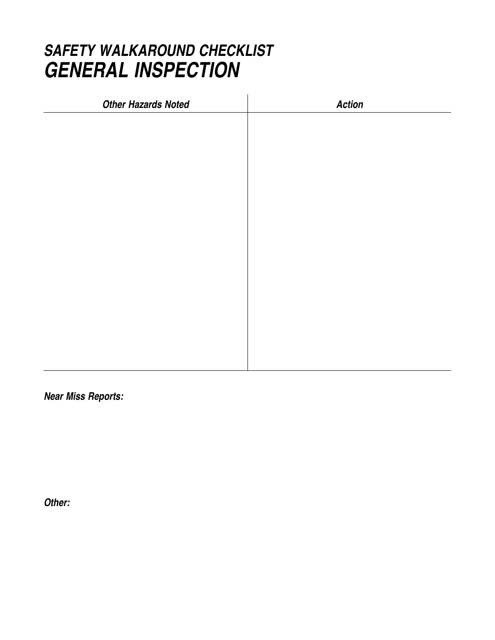### *SAFETY WALKAROUND CHECKLIST GENERAL INSPECTION*

| <b>Other Hazards Noted</b> | <b>Action</b> |
|----------------------------|---------------|
|                            |               |
|                            |               |
|                            |               |
|                            |               |
|                            |               |
|                            |               |
|                            |               |
|                            |               |
|                            |               |
|                            |               |
|                            |               |
|                            |               |
|                            |               |
|                            |               |

*Near Miss Reports:*

*Other:*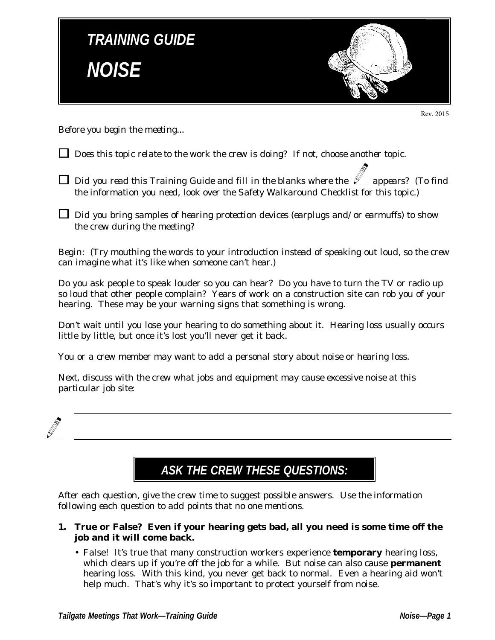

Rev. 2015

*Before you begin the meeting...*

- *Does this topic relate to the work the crew is doing? If not, choose another topic.*
- $\Box$  *Did you read this Training Guide and fill in the blanks where the*  $\mathcal{L}$  *appears? (To find the information you need, look over the Safety Walkaround Checklist for this topic.)*
- *Did you bring samples of hearing protection devices (earplugs and/or earmuffs) to show the crew during the meeting?*

*Begin: (Try mouthing the words to your introduction instead of speaking out loud, so the crew can imagine what it's like when someone can't hear.)*

Do you ask people to speak louder so you can hear? Do you have to turn the TV or radio up so loud that other people complain? Years of work on a construction site can rob you of your hearing. These may be your warning signs that something is wrong.

Don't wait until you lose your hearing to do something about it. Hearing loss usually occurs little by little, but once it's lost you'll never get it back.

*You or a crew member may want to add a personal story about noise or hearing loss.*

*Next, discuss with the crew what jobs and equipment may cause excessive noise at this particular job site:*



### **ASK THE CREW THESE QUESTIONS:**

*After each question, give the crew time to suggest possible answers. Use the information following each question to add points that no one mentions.*

- **1. True or False? Even if your hearing gets bad, all you need is some time off the job and it will come back.**
	- False! It's true that many construction workers experience **temporary** hearing loss, which clears up if you're off the job for a while. But noise can also cause **permanent** hearing loss. With this kind, you never get back to normal. Even a hearing aid won't help much. That's why it's so important to protect yourself from noise.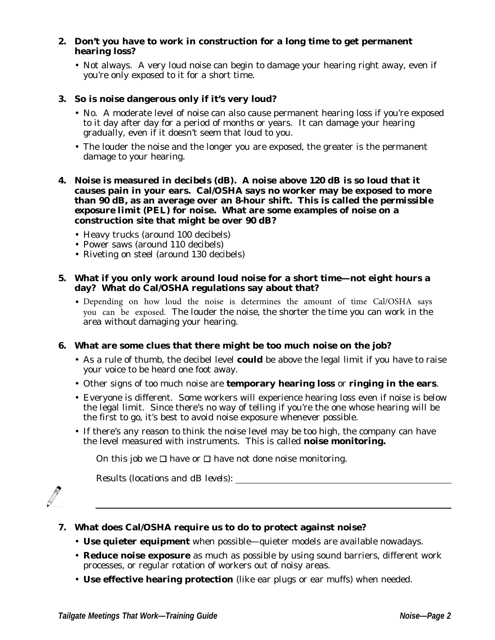### **2. Don't you have to work in construction for a long time to get permanent hearing loss?**

• Not always. A very loud noise can begin to damage your hearing right away, even if you're only exposed to it for a short time.

### **3. So is noise dangerous only if it's very loud?**

- No. A moderate level of noise can also cause permanent hearing loss if you're exposed to it day after day for a period of months or years. It can damage your hearing gradually, even if it doesn't seem that loud to you.
- The louder the noise and the longer you are exposed, the greater is the permanent damage to your hearing.

### **4. Noise is measured in** *decibels (dB)***. A noise above 120 dB is so loud that it causes pain in your ears. Cal/OSHA says no worker may be exposed to more than 90 dB, as an average over an 8-hour shift. This is called the** *permissible exposure limit* **(PEL) for noise. What are some examples of noise on a construction site that might be over 90 dB?**

- Heavy trucks (around 100 decibels)
- Power saws (around 110 decibels)
- Riveting on steel (around 130 decibels)

### **5. What if you only work around loud noise for a short time—not eight hours a day? What do Cal/OSHA regulations say about that?**

• Depending on how loud the noise is determines the amount of time Cal/OSHA says you can be exposed. The louder the noise, the shorter the time you can work in the area without damaging your hearing.

### **6. What are some clues that there might be too much noise on the job?**

- As a rule of thumb, the decibel level **could** be above the legal limit if you have to raise your voice to be heard one foot away.
- Other signs of too much noise are **temporary hearing loss** or **ringing in the ears**.
- Everyone is different. Some workers will experience hearing loss even if noise is below the legal limit. Since there's no way of telling if you're the one whose hearing will be the first to go, it's best to avoid noise exposure whenever possible.
- If there's any reason to think the noise level may be too high, the company can have the level measured with instruments. This is called **noise monitoring.**

On this job we  $\Box$  have or  $\Box$  have not done noise monitoring.

*Results (locations and dB levels):*



### **7. What does Cal/OSHA require us to do to protect against noise?**

- **Use quieter equipment** when possible—quieter models are available nowadays.
- **Reduce noise exposure** as much as possible by using sound barriers, different work processes, or regular rotation of workers out of noisy areas.
- **Use effective hearing protection** (like ear plugs or ear muffs) when needed.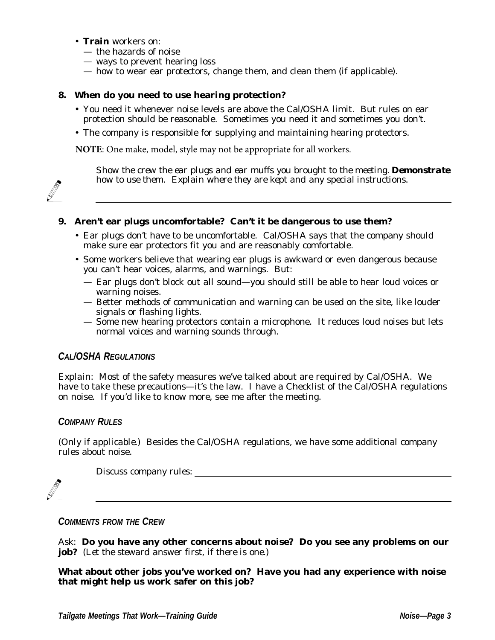- **Train** workers on:
	- the hazards of noise
	- ways to prevent hearing loss
	- how to wear ear protectors, change them, and clean them (if applicable).

### **8. When do you need to use hearing protection?**

- You need it whenever noise levels are above the Cal/OSHA limit. But rules on ear protection should be reasonable. Sometimes you need it and sometimes you don't.
- The company is responsible for supplying and maintaining hearing protectors.

**NOTE**: One make, model, style may not be appropriate for all workers.

*Show the crew the ear plugs and ear muffs you brought to the meeting. Demonstrate how to use them. Explain where they are kept and any special instructions.*

### **9. Aren't ear plugs uncomfortable? Can't it be dangerous to use them?**

- Ear plugs don't have to be uncomfortable. Cal/OSHA says that the company should make sure ear protectors fit you and are reasonably comfortable.
- Some workers believe that wearing ear plugs is awkward or even dangerous because you can't hear voices, alarms, and warnings. But:
	- Ear plugs don't block out all sound—you should still be able to hear loud voices or warning noises.
	- Better methods of communication and warning can be used on the site, like louder signals or flashing lights.
	- Some new hearing protectors contain a microphone. It reduces loud noises but lets normal voices and warning sounds through.

### **CAL/OSHA REGULATIONS**

*Explain:* Most of the safety measures we've talked about are required by Cal/OSHA. We have to take these precautions—it's the law. I have a Checklist of the Cal/OSHA regulations on noise. If you'd like to know more, see me after the meeting.

### **COMPANY RULES**

*(Only if applicable.)* Besides the Cal/OSHA regulations, we have some additional company rules about noise.

*Discuss company rules:*

### **COMMENTS FROM THE CREW**

*Ask:* **Do you have any other concerns about noise? Do you see any problems on our job?** *(Let the steward answer first, if there is one.)*

**What about other jobs you've worked on? Have you had any experience with noise that might help us work safer on this job?**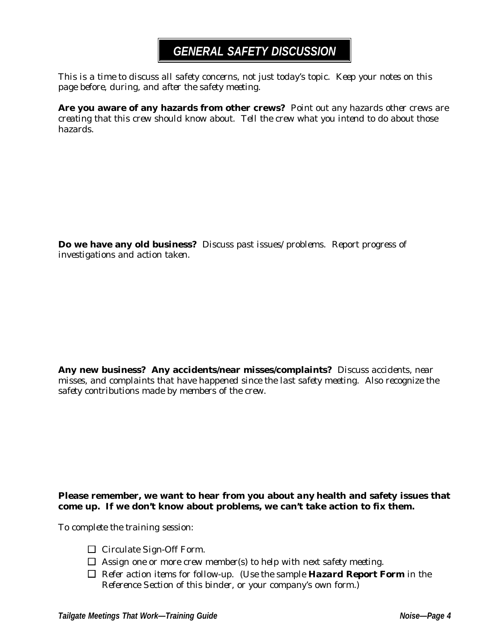### **GENERAL SAFETY DISCUSSION**

*This is a time to discuss all safety concerns, not just today's topic. Keep your notes on this page before, during, and after the safety meeting.*

**Are you aware of any hazards from other crews?** *Point out any hazards other crews are creating that this crew should know about. Tell the crew what you intend to do about those hazards.*

**Do we have any old business?** *Discuss past issues/problems. Report progress of investigations and action taken.*

**Any new business? Any accidents/near misses/complaints?** *Discuss accidents, near misses, and complaints that have happened since the last safety meeting. Also recognize the safety contributions made by members of the crew.*

### **Please remember, we want to hear from you about** *any* **health and safety issues that come up. If we don't know about problems, we can't take action to fix them.**

*To complete the training session:*

- *Circulate Sign-Off Form.*
- *Assign one or more crew member(s) to help with next safety meeting.*
- *Refer action items for follow-up. (Use the sample Hazard Report Form in the Reference Section of this binder, or your company's own form.)*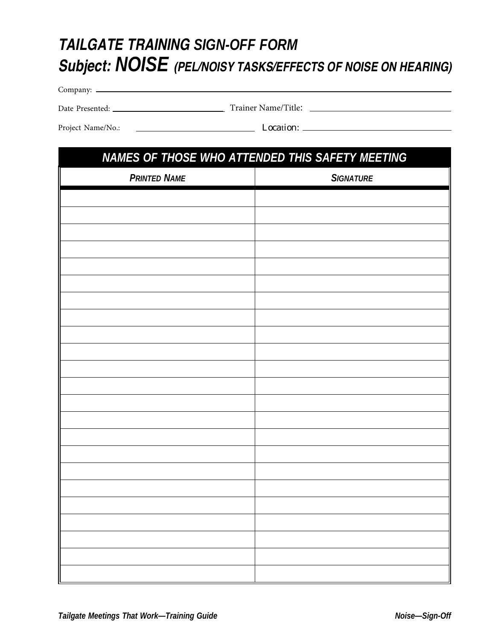### **TAILGATE TRAINING SIGN-OFF FORM Subject: NOISE (PEL/NOISY TASKS/EFFECTS OF NOISE ON HEARING)**

Company:

Trainer Name/Title: Date Presented:

Project Name/No.: Location:

# **NAMES OF THOSE WHO ATTENDED THIS SAFETY MEETING PRINTED NAME SIGNATURE**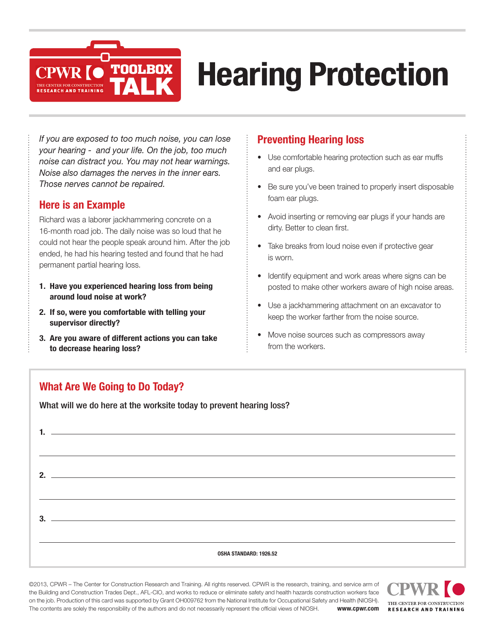

# **Hearing Protection**

*If you are exposed to too much noise, you can lose your hearing - and your life. On the job, too much noise can distract you. You may not hear warnings. Noise also damages the nerves in the inner ears. Those nerves cannot be repaired.*

### **Here is an Example**

Richard was a laborer jackhammering concrete on a 16-month road job. The daily noise was so loud that he could not hear the people speak around him. After the job ended, he had his hearing tested and found that he had permanent partial hearing loss.

- **1. Have you experienced hearing loss from being around loud noise at work?**
- **2. If so, were you comfortable with telling your supervisor directly?**
- **3. Are you aware of different actions you can take to decrease hearing loss?**

### **Preventing Hearing loss**

- Use comfortable hearing protection such as ear muffs and ear plugs.
- Be sure you've been trained to properly insert disposable foam ear plugs.
- Avoid inserting or removing ear plugs if your hands are dirty. Better to clean first.
- Take breaks from loud noise even if protective gear is worn.
- Identify equipment and work areas where signs can be posted to make other workers aware of high noise areas.
- Use a jackhammering attachment on an excavator to keep the worker farther from the noise source.
- Move noise sources such as compressors away from the workers.

### **What Are We Going to Do Today?**

What will we do here at the worksite today to prevent hearing loss?

| C |                                                                                                                      |
|---|----------------------------------------------------------------------------------------------------------------------|
| ર | <u> 1989 - Johann Stein, mars an deutscher Stein und der Stein und der Stein und der Stein und der Stein und der</u> |
|   | OSHA STANDARD: 1926.52                                                                                               |

©2013, CPWR – The Center for Construction Research and Training. All rights reserved. CPWR is the research, training, and service arm of the Building and Construction Trades Dept., AFL-CIO, and works to reduce or eliminate safety and health hazards construction workers face on the job. Production of this card was supported by Grant OH009762 from the National Institute for Occupational Safety and Health (NIOSH). The contents are solely the responsibility of the authors and do not necessarily represent the official views of NIOSH. **www.cpwr.com**

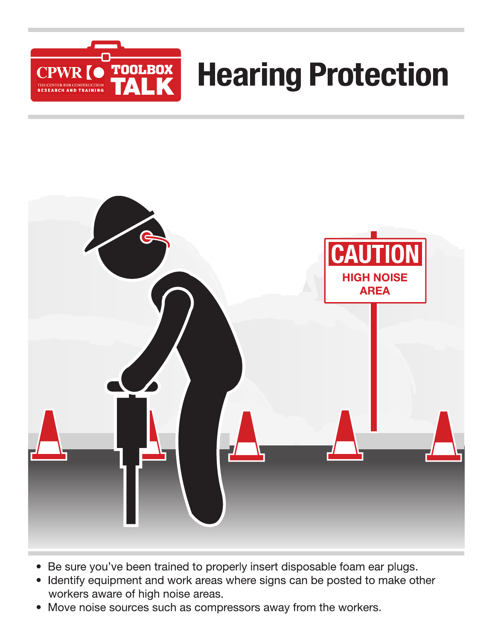

# **Hearing Protection**



- Be sure you've been trained to properly insert disposable foam ear plugs.  $\bullet$
- Identify equipment and work areas where signs can be posted to make other workers aware of high noise areas.
- Move noise sources such as compressors away from the workers.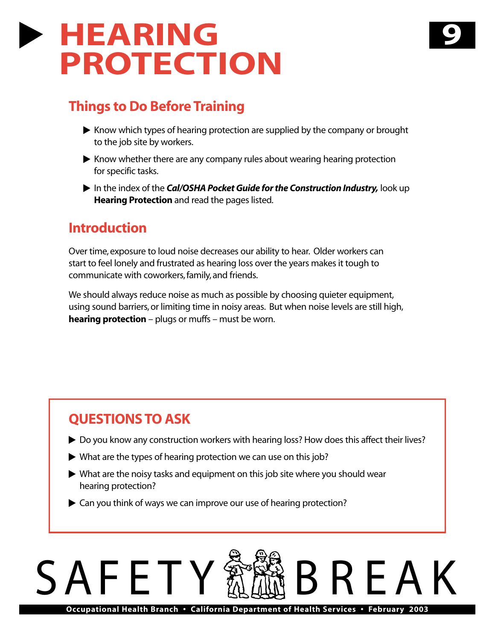## **HEARING PROTECTION**

### **Things to Do Before Training**

- Know which types of hearing protection are supplied by the company or brought to the job site by workers.

**9**

- Know whether there are any company rules about wearing hearing protection for specific tasks.
- In the index of the *Cal/OSHA Pocket Guide for the Construction Industry,* look up **Hearing Protection** and read the pages listed.

### **Introduction**

Over time, exposure to loud noise decreases our ability to hear. Older workers can start to feel lonely and frustrated as hearing loss over the years makes it tough to communicate with coworkers, family, and friends.

We should always reduce noise as much as possible by choosing quieter equipment, using sound barriers, or limiting time in noisy areas. But when noise levels are still high, **hearing protection** – plugs or muffs – must be worn.

### **QUESTIONS TO ASK**

- ▶ Do you know any construction workers with hearing loss? How does this affect their lives?
- $\blacktriangleright$  What are the types of hearing protection we can use on this job?
- What are the noisy tasks and equipment on this job site where you should wear hearing protection?
- ▶ Can you think of ways we can improve our use of hearing protection?

# SAFETY BREAK

**Occupational Health Branch • California Department of Health Services • February 2003**